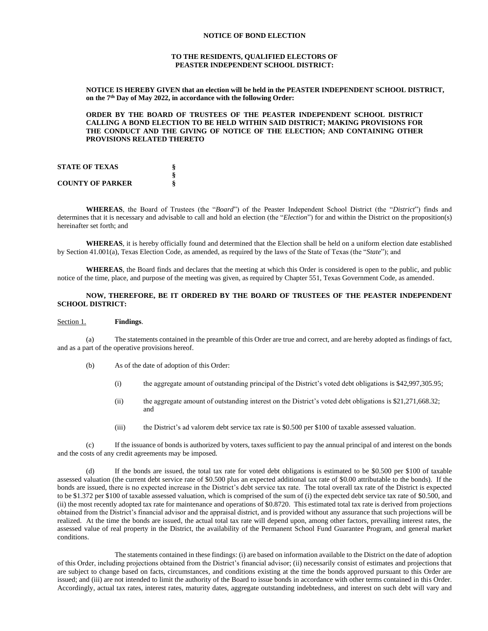#### **NOTICE OF BOND ELECTION**

#### **TO THE RESIDENTS, QUALIFIED ELECTORS OF PEASTER INDEPENDENT SCHOOL DISTRICT:**

**NOTICE IS HEREBY GIVEN that an election will be held in the PEASTER INDEPENDENT SCHOOL DISTRICT, on the 7th Day of May 2022, in accordance with the following Order:**

**ORDER BY THE BOARD OF TRUSTEES OF THE PEASTER INDEPENDENT SCHOOL DISTRICT CALLING A BOND ELECTION TO BE HELD WITHIN SAID DISTRICT; MAKING PROVISIONS FOR THE CONDUCT AND THE GIVING OF NOTICE OF THE ELECTION; AND CONTAINING OTHER PROVISIONS RELATED THERETO**

| <b>STATE OF TEXAS</b>   |  |
|-------------------------|--|
|                         |  |
| <b>COUNTY OF PARKER</b> |  |

**WHEREAS**, the Board of Trustees (the "*Board*") of the Peaster Independent School District (the "*District*") finds and determines that it is necessary and advisable to call and hold an election (the "*Election*") for and within the District on the proposition(s) hereinafter set forth; and

**WHEREAS**, it is hereby officially found and determined that the Election shall be held on a uniform election date established by Section 41.001(a), Texas Election Code, as amended, as required by the laws of the State of Texas (the "*State*"); and

**WHEREAS**, the Board finds and declares that the meeting at which this Order is considered is open to the public, and public notice of the time, place, and purpose of the meeting was given, as required by Chapter 551, Texas Government Code, as amended.

## **NOW, THEREFORE, BE IT ORDERED BY THE BOARD OF TRUSTEES OF THE PEASTER INDEPENDENT SCHOOL DISTRICT:**

#### Section 1. **Findings**.

(a) The statements contained in the preamble of this Order are true and correct, and are hereby adopted as findings of fact, and as a part of the operative provisions hereof.

- (b) As of the date of adoption of this Order:
	- (i) the aggregate amount of outstanding principal of the District's voted debt obligations is \$42,997,305.95;
	- (ii) the aggregate amount of outstanding interest on the District's voted debt obligations is \$21,271,668.32; and
	- (iii) the District's ad valorem debt service tax rate is \$0.500 per \$100 of taxable assessed valuation.

(c) If the issuance of bonds is authorized by voters, taxes sufficient to pay the annual principal of and interest on the bonds and the costs of any credit agreements may be imposed.

(d) If the bonds are issued, the total tax rate for voted debt obligations is estimated to be \$0.500 per \$100 of taxable assessed valuation (the current debt service rate of \$0.500 plus an expected additional tax rate of \$0.00 attributable to the bonds). If the bonds are issued, there is no expected increase in the District's debt service tax rate. The total overall tax rate of the District is expected to be \$1.372 per \$100 of taxable assessed valuation, which is comprised of the sum of (i) the expected debt service tax rate of \$0.500, and (ii) the most recently adopted tax rate for maintenance and operations of \$0.8720. This estimated total tax rate is derived from projections obtained from the District's financial advisor and the appraisal district, and is provided without any assurance that such projections will be realized. At the time the bonds are issued, the actual total tax rate will depend upon, among other factors, prevailing interest rates, the assessed value of real property in the District, the availability of the Permanent School Fund Guarantee Program, and general market conditions.

The statements contained in these findings: (i) are based on information available to the District on the date of adoption of this Order, including projections obtained from the District's financial advisor; (ii) necessarily consist of estimates and projections that are subject to change based on facts, circumstances, and conditions existing at the time the bonds approved pursuant to this Order are issued; and (iii) are not intended to limit the authority of the Board to issue bonds in accordance with other terms contained in this Order. Accordingly, actual tax rates, interest rates, maturity dates, aggregate outstanding indebtedness, and interest on such debt will vary and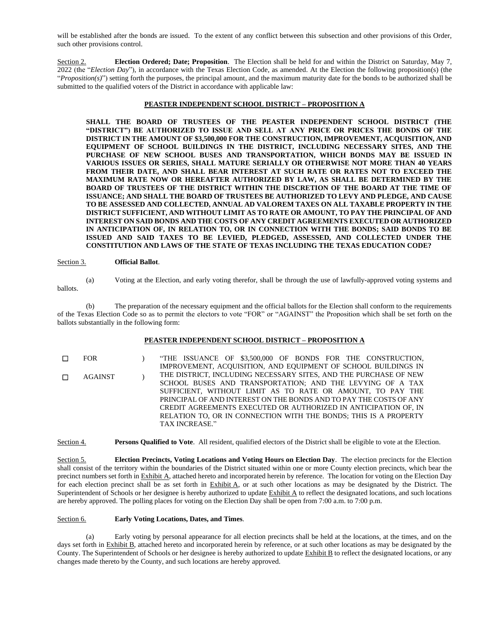will be established after the bonds are issued. To the extent of any conflict between this subsection and other provisions of this Order, such other provisions control.

Section 2. **Election Ordered; Date; Proposition**. The Election shall be held for and within the District on Saturday, May 7, 2022 (the "*Election Day*"), in accordance with the Texas Election Code, as amended. At the Election the following proposition(s) (the "*Proposition(s)*") setting forth the purposes, the principal amount, and the maximum maturity date for the bonds to be authorized shall be submitted to the qualified voters of the District in accordance with applicable law:

## **PEASTER INDEPENDENT SCHOOL DISTRICT – PROPOSITION A**

**SHALL THE BOARD OF TRUSTEES OF THE PEASTER INDEPENDENT SCHOOL DISTRICT (THE "DISTRICT") BE AUTHORIZED TO ISSUE AND SELL AT ANY PRICE OR PRICES THE BONDS OF THE DISTRICT IN THE AMOUNT OF \$3,500,000 FOR THE CONSTRUCTION, IMPROVEMENT, ACQUISITION, AND EQUIPMENT OF SCHOOL BUILDINGS IN THE DISTRICT, INCLUDING NECESSARY SITES, AND THE PURCHASE OF NEW SCHOOL BUSES AND TRANSPORTATION, WHICH BONDS MAY BE ISSUED IN VARIOUS ISSUES OR SERIES, SHALL MATURE SERIALLY OR OTHERWISE NOT MORE THAN 40 YEARS FROM THEIR DATE, AND SHALL BEAR INTEREST AT SUCH RATE OR RATES NOT TO EXCEED THE MAXIMUM RATE NOW OR HEREAFTER AUTHORIZED BY LAW, AS SHALL BE DETERMINED BY THE BOARD OF TRUSTEES OF THE DISTRICT WITHIN THE DISCRETION OF THE BOARD AT THE TIME OF ISSUANCE; AND SHALL THE BOARD OF TRUSTEES BE AUTHORIZED TO LEVY AND PLEDGE, AND CAUSE TO BE ASSESSED AND COLLECTED, ANNUAL AD VALOREM TAXES ON ALL TAXABLE PROPERTY IN THE DISTRICT SUFFICIENT, AND WITHOUT LIMIT AS TO RATE OR AMOUNT, TO PAY THE PRINCIPAL OF AND INTEREST ON SAID BONDS AND THE COSTS OF ANY CREDIT AGREEMENTS EXECUTED OR AUTHORIZED IN ANTICIPATION OF, IN RELATION TO, OR IN CONNECTION WITH THE BONDS; SAID BONDS TO BE ISSUED AND SAID TAXES TO BE LEVIED, PLEDGED, ASSESSED, AND COLLECTED UNDER THE CONSTITUTION AND LAWS OF THE STATE OF TEXAS INCLUDING THE TEXAS EDUCATION CODE?**

### Section 3. **Official Ballot**.

(a) Voting at the Election, and early voting therefor, shall be through the use of lawfully-approved voting systems and

(b) The preparation of the necessary equipment and the official ballots for the Election shall conform to the requirements of the Texas Election Code so as to permit the electors to vote "FOR" or "AGAINST" the Proposition which shall be set forth on the ballots substantially in the following form:

### **PEASTER INDEPENDENT SCHOOL DISTRICT – PROPOSITION A**

☐ FOR ) "THE ISSUANCE OF \$3,500,000 OF BONDS FOR THE CONSTRUCTION, IMPROVEMENT, ACQUISITION, AND EQUIPMENT OF SCHOOL BUILDINGS IN THE DISTRICT, INCLUDING NECESSARY SITES, AND THE PURCHASE OF NEW SCHOOL BUSES AND TRANSPORTATION; AND THE LEVYING OF A TAX SUFFICIENT, WITHOUT LIMIT AS TO RATE OR AMOUNT, TO PAY THE PRINCIPAL OF AND INTEREST ON THE BONDS AND TO PAY THE COSTS OF ANY CREDIT AGREEMENTS EXECUTED OR AUTHORIZED IN ANTICIPATION OF, IN RELATION TO, OR IN CONNECTION WITH THE BONDS; THIS IS A PROPERTY TAX INCREASE." ☐ AGAINST )

Section 4. **Persons Qualified to Vote**. All resident, qualified electors of the District shall be eligible to vote at the Election.

Section 5. **Election Precincts, Voting Locations and Voting Hours on Election Day**. The election precincts for the Election shall consist of the territory within the boundaries of the District situated within one or more County election precincts, which bear the precinct numbers set forth in Exhibit A, attached hereto and incorporated herein by reference. The location for voting on the Election Day for each election precinct shall be as set forth in  $\frac{Exhibit A}{A}$ , or at such other locations as may be designated by the District. The Superintendent of Schools or her designee is hereby authorized to update  $\frac{Exhibit A}{A}$  to reflect the designated locations, and such locations are hereby approved. The polling places for voting on the Election Day shall be open from 7:00 a.m. to 7:00 p.m.

### Section 6. **Early Voting Locations, Dates, and Times**.

(a) Early voting by personal appearance for all election precincts shall be held at the locations, at the times, and on the days set forth in Exhibit B, attached hereto and incorporated herein by reference, or at such other locations as may be designated by the County. The Superintendent of Schools or her designee is hereby authorized to update Exhibit B to reflect the designated locations, or any changes made thereto by the County, and such locations are hereby approved.

ballots.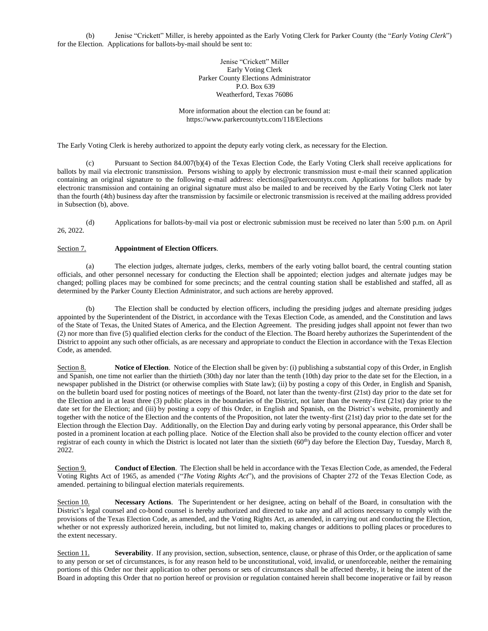(b) Jenise "Crickett" Miller, is hereby appointed as the Early Voting Clerk for Parker County (the "*Early Voting Clerk*") for the Election. Applications for ballots-by-mail should be sent to:

> Jenise "Crickett" Miller Early Voting Clerk Parker County Elections Administrator P.O. Box 639 Weatherford, Texas 76086

More information about the election can be found at: https://www.parkercountytx.com/118/Elections

The Early Voting Clerk is hereby authorized to appoint the deputy early voting clerk, as necessary for the Election.

(c) Pursuant to Section 84.007(b)(4) of the Texas Election Code, the Early Voting Clerk shall receive applications for ballots by mail via electronic transmission. Persons wishing to apply by electronic transmission must e-mail their scanned application containing an original signature to the following e-mail address: elections@parkercountytx.com. Applications for ballots made by electronic transmission and containing an original signature must also be mailed to and be received by the Early Voting Clerk not later than the fourth (4th) business day after the transmission by facsimile or electronic transmission is received at the mailing address provided in Subsection (b), above.

(d) Applications for ballots-by-mail via post or electronic submission must be received no later than 5:00 p.m. on April 26, 2022.

# Section 7. **Appointment of Election Officers**.

(a) The election judges, alternate judges, clerks, members of the early voting ballot board, the central counting station officials, and other personnel necessary for conducting the Election shall be appointed; election judges and alternate judges may be changed; polling places may be combined for some precincts; and the central counting station shall be established and staffed, all as determined by the Parker County Election Administrator, and such actions are hereby approved.

(b) The Election shall be conducted by election officers, including the presiding judges and alternate presiding judges appointed by the Superintendent of the District, in accordance with the Texas Election Code, as amended, and the Constitution and laws of the State of Texas, the United States of America, and the Election Agreement. The presiding judges shall appoint not fewer than two (2) nor more than five (5) qualified election clerks for the conduct of the Election. The Board hereby authorizes the Superintendent of the District to appoint any such other officials, as are necessary and appropriate to conduct the Election in accordance with the Texas Election Code, as amended.

Section 8. **Notice of Election**. Notice of the Election shall be given by: (i) publishing a substantial copy of this Order, in English and Spanish, one time not earlier than the thirtieth (30th) day nor later than the tenth (10th) day prior to the date set for the Election, in a newspaper published in the District (or otherwise complies with State law); (ii) by posting a copy of this Order, in English and Spanish, on the bulletin board used for posting notices of meetings of the Board, not later than the twenty-first (21st) day prior to the date set for the Election and in at least three (3) public places in the boundaries of the District, not later than the twenty-first (21st) day prior to the date set for the Election; and (iii) by posting a copy of this Order, in English and Spanish, on the District's website, prominently and together with the notice of the Election and the contents of the Proposition, not later the twenty-first (21st) day prior to the date set for the Election through the Election Day. Additionally, on the Election Day and during early voting by personal appearance, this Order shall be posted in a prominent location at each polling place. Notice of the Election shall also be provided to the county election officer and voter registrar of each county in which the District is located not later than the sixtieth (60<sup>th</sup>) day before the Election Day, Tuesday, March 8, 2022.

Section 9. **Conduct of Election**. The Election shall be held in accordance with the Texas Election Code, as amended, the Federal Voting Rights Act of 1965, as amended ("*The Voting Rights Act*"), and the provisions of Chapter 272 of the Texas Election Code, as amended. pertaining to bilingual election materials requirements.

Section 10. **Necessary Actions**. The Superintendent or her designee, acting on behalf of the Board, in consultation with the District's legal counsel and co-bond counsel is hereby authorized and directed to take any and all actions necessary to comply with the provisions of the Texas Election Code, as amended, and the Voting Rights Act, as amended, in carrying out and conducting the Election, whether or not expressly authorized herein, including, but not limited to, making changes or additions to polling places or procedures to the extent necessary.

Section 11. **Severability**. If any provision, section, subsection, sentence, clause, or phrase of this Order, or the application of same to any person or set of circumstances, is for any reason held to be unconstitutional, void, invalid, or unenforceable, neither the remaining portions of this Order nor their application to other persons or sets of circumstances shall be affected thereby, it being the intent of the Board in adopting this Order that no portion hereof or provision or regulation contained herein shall become inoperative or fail by reason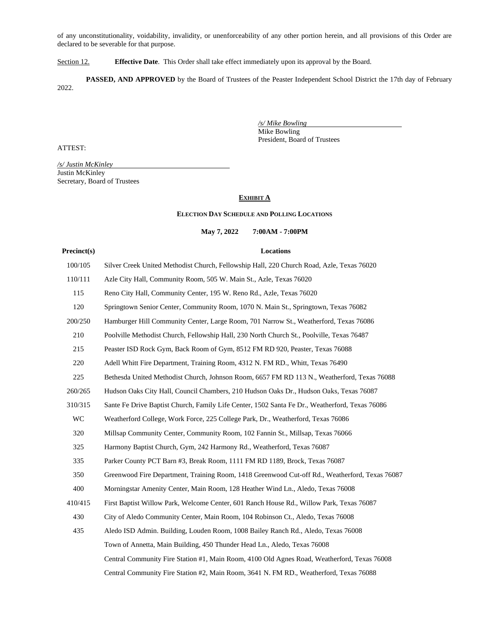of any unconstitutionality, voidability, invalidity, or unenforceability of any other portion herein, and all provisions of this Order are declared to be severable for that purpose.

Section 12. **Effective Date**. This Order shall take effect immediately upon its approval by the Board.

**PASSED, AND APPROVED** by the Board of Trustees of the Peaster Independent School District the 17th day of February 2022.

ATTEST:

*/s/ Justin McKinley* Justin McKinley Secretary, Board of Trustees

# **EXHIBIT A**

#### **ELECTION DAY SCHEDULE AND POLLING LOCATIONS**

# **May 7, 2022 7:00AM - 7:00PM**

# **Precinct(s) Locations**

*/s/ Mike Bowling* Mike Bowling

President, Board of Trustees

| 100/105 | Silver Creek United Methodist Church, Fellowship Hall, 220 Church Road, Azle, Texas 76020      |
|---------|------------------------------------------------------------------------------------------------|
| 110/111 | Azle City Hall, Community Room, 505 W. Main St., Azle, Texas 76020                             |
| 115     | Reno City Hall, Community Center, 195 W. Reno Rd., Azle, Texas 76020                           |
| 120     | Springtown Senior Center, Community Room, 1070 N. Main St., Springtown, Texas 76082            |
| 200/250 | Hamburger Hill Community Center, Large Room, 701 Narrow St., Weatherford, Texas 76086          |
| 210     | Poolville Methodist Church, Fellowship Hall, 230 North Church St., Poolville, Texas 76487      |
| 215     | Peaster ISD Rock Gym, Back Room of Gym, 8512 FM RD 920, Peaster, Texas 76088                   |
| 220     | Adell Whitt Fire Department, Training Room, 4312 N. FM RD., Whitt, Texas 76490                 |
| 225     | Bethesda United Methodist Church, Johnson Room, 6657 FM RD 113 N., Weatherford, Texas 76088    |
| 260/265 | Hudson Oaks City Hall, Council Chambers, 210 Hudson Oaks Dr., Hudson Oaks, Texas 76087         |
| 310/315 | Sante Fe Drive Baptist Church, Family Life Center, 1502 Santa Fe Dr., Weatherford, Texas 76086 |
| WC      | Weatherford College, Work Force, 225 College Park, Dr., Weatherford, Texas 76086               |
| 320     | Millsap Community Center, Community Room, 102 Fannin St., Millsap, Texas 76066                 |
| 325     | Harmony Baptist Church, Gym, 242 Harmony Rd., Weatherford, Texas 76087                         |
| 335     | Parker County PCT Barn #3, Break Room, 1111 FM RD 1189, Brock, Texas 76087                     |
| 350     | Greenwood Fire Department, Training Room, 1418 Greenwood Cut-off Rd., Weatherford, Texas 76087 |
| 400     | Morningstar Amenity Center, Main Room, 128 Heather Wind Ln., Aledo, Texas 76008                |
| 410/415 | First Baptist Willow Park, Welcome Center, 601 Ranch House Rd., Willow Park, Texas 76087       |
| 430     | City of Aledo Community Center, Main Room, 104 Robinson Ct., Aledo, Texas 76008                |
| 435     | Aledo ISD Admin. Building, Louden Room, 1008 Bailey Ranch Rd., Aledo, Texas 76008              |
|         | Town of Annetta, Main Building, 450 Thunder Head Ln., Aledo, Texas 76008                       |
|         | Central Community Fire Station #1, Main Room, 4100 Old Agnes Road, Weatherford, Texas 76008    |
|         | Central Community Fire Station #2, Main Room, 3641 N. FM RD., Weatherford, Texas 76088         |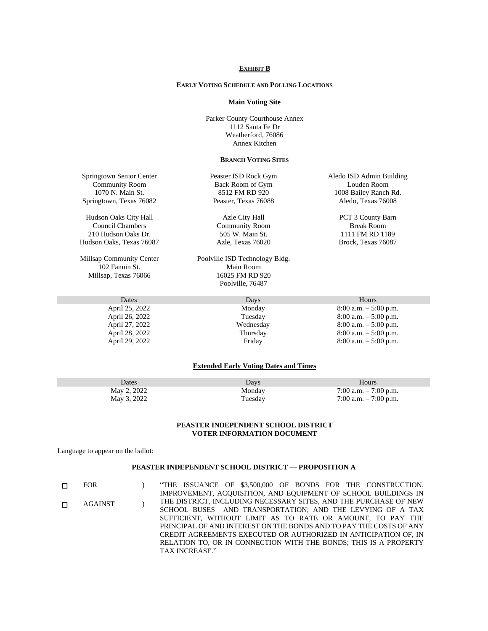#### **EXHIBIT B**

# **EARLY VOTING SCHEDULE AND POLLING LOCATIONS**

#### **Main Voting Site**

Parker County Courthouse Annex 1112 Santa Fe Dr Weatherford, 76086 Annex Kitchen

#### **BRANCH VOTING SITES**

Springtown Senior Center Community Room 1070 N. Main St. Springtown, Texas 76082

Hudson Oaks City Hall Council Chambers 210 Hudson Oaks Dr. Hudson Oaks, Texas 76087

Millsap Community Center 102 Fannin St. Millsap, Texas 76066

Peaster ISD Rock Gym Back Room of Gym 8512 FM RD 920 Peaster, Texas 76088

Azle City Hall Community Room 505 W. Main St. Azle, Texas 76020

Poolville ISD Technology Bldg. Main Room 16025 FM RD 920 Poolville, 76487

Aledo ISD Admin Building Louden Room 1008 Bailey Ranch Rd. Aledo, Texas 76008

> PCT 3 County Barn Break Room 1111 FM RD 1189 Brock, Texas 76087

| Dates          | Days      | Hours                    |  |
|----------------|-----------|--------------------------|--|
| April 25, 2022 | Monday    | $8:00$ a.m. $-5:00$ p.m. |  |
| April 26, 2022 | Tuesday   | $8:00$ a.m. $-5:00$ p.m. |  |
| April 27, 2022 | Wednesday | $8:00$ a.m. $-5:00$ p.m. |  |
| April 28, 2022 | Thursday  | $8:00$ a.m. $-5:00$ p.m. |  |
| April 29, 2022 | Friday    | $8:00$ a.m. $-5:00$ p.m. |  |

## **Extended Early Voting Dates and Times**

| Dates       | Davs    | <b>Hours</b>           |
|-------------|---------|------------------------|
| May 2, 2022 | Monday  | 7:00 a.m. $-7:00$ p.m. |
| May 3, 2022 | Tuesday | 7:00 a.m. $-7:00$ p.m. |

# **PEASTER INDEPENDENT SCHOOL DISTRICT VOTER INFORMATION DOCUMENT**

Language to appear on the ballot:

## **PEASTER INDEPENDENT SCHOOL DISTRICT — PROPOSITION A**

| п | <b>FOR</b>     | "THE ISSUANCE OF \$3,500,000 OF BONDS FOR THE CONSTRUCTION,        |
|---|----------------|--------------------------------------------------------------------|
|   |                | IMPROVEMENT, ACOUISITION, AND EQUIPMENT OF SCHOOL BUILDINGS IN     |
| п | <b>AGAINST</b> | THE DISTRICT, INCLUDING NECESSARY SITES, AND THE PURCHASE OF NEW   |
|   |                | SCHOOL BUSES AND TRANSPORTATION; AND THE LEVYING OF A TAX          |
|   |                | SUFFICIENT, WITHOUT LIMIT AS TO RATE OR AMOUNT, TO PAY THE         |
|   |                | PRINCIPAL OF AND INTEREST ON THE BONDS AND TO PAY THE COSTS OF ANY |
|   |                | CREDIT AGREEMENTS EXECUTED OR AUTHORIZED IN ANTICIPATION OF. IN    |
|   |                | RELATION TO. OR IN CONNECTION WITH THE BONDS: THIS IS A PROPERTY   |
|   |                | TAX INCREASE."                                                     |